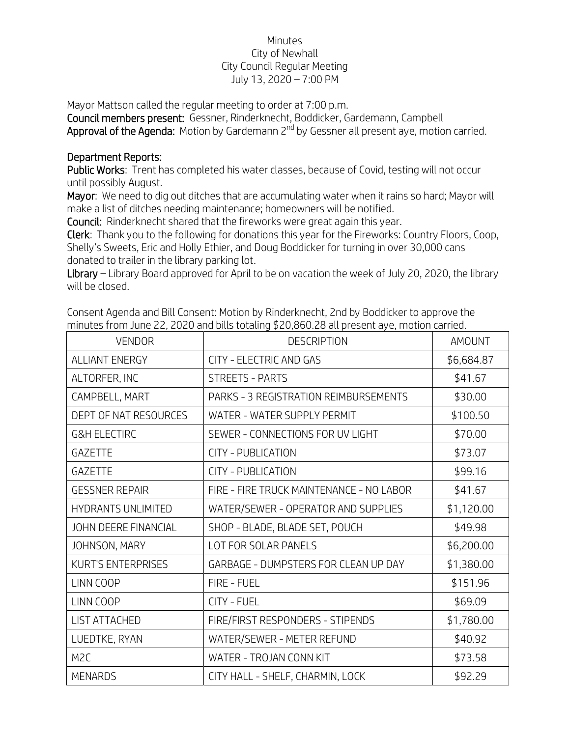## Minutes City of Newhall City Council Regular Meeting July 13, 2020 – 7:00 PM

Mayor Mattson called the regular meeting to order at 7:00 p.m.

Council members present: Gessner, Rinderknecht, Boddicker, Gardemann, Campbell Approval of the Agenda: Motion by Gardemann 2<sup>nd</sup> by Gessner all present aye, motion carried.

## Department Reports:

Public Works: Trent has completed his water classes, because of Covid, testing will not occur until possibly August.

Mayor: We need to dig out ditches that are accumulating water when it rains so hard; Mayor will make a list of ditches needing maintenance; homeowners will be notified.

Council: Rinderknecht shared that the fireworks were great again this year.

Clerk: Thank you to the following for donations this year for the Fireworks: Country Floors, Coop, Shelly's Sweets, Eric and Holly Ethier, and Doug Boddicker for turning in over 30,000 cans donated to trailer in the library parking lot.

Library – Library Board approved for April to be on vacation the week of July 20, 2020, the library will be closed.

| <b>VENDOR</b>               | <b>DESCRIPTION</b>                       | <b>AMOUNT</b> |
|-----------------------------|------------------------------------------|---------------|
| <b>ALLIANT ENERGY</b>       | CITY - ELECTRIC AND GAS                  | \$6,684.87    |
| ALTORFER, INC               | <b>STREETS - PARTS</b>                   | \$41.67       |
| CAMPBELL, MART              | PARKS - 3 REGISTRATION REIMBURSEMENTS    | \$30.00       |
| DEPT OF NAT RESOURCES       | WATER - WATER SUPPLY PERMIT              | \$100.50      |
| <b>G&amp;H ELECTIRC</b>     | SEWER - CONNECTIONS FOR UV LIGHT         | \$70.00       |
| <b>GAZETTE</b>              | CITY - PUBLICATION                       | \$73.07       |
| <b>GAZETTE</b>              | CITY - PUBLICATION                       | \$99.16       |
| <b>GESSNER REPAIR</b>       | FIRE - FIRE TRUCK MAINTENANCE - NO LABOR | \$41.67       |
| <b>HYDRANTS UNLIMITED</b>   | WATER/SEWER - OPERATOR AND SUPPLIES      | \$1,120.00    |
| <b>JOHN DEERE FINANCIAL</b> | SHOP - BLADE, BLADE SET, POUCH           | \$49.98       |
| JOHNSON, MARY               | LOT FOR SOLAR PANELS                     | \$6,200.00    |
| <b>KURT'S ENTERPRISES</b>   | GARBAGE - DUMPSTERS FOR CLEAN UP DAY     | \$1,380.00    |
| LINN COOP                   | FIRE - FUEL                              | \$151.96      |
| LINN COOP                   | CITY - FUEL                              | \$69.09       |
| LIST ATTACHED               | FIRE/FIRST RESPONDERS - STIPENDS         | \$1,780.00    |
| LUEDTKE, RYAN               | WATER/SEWER - METER REFUND               | \$40.92       |
| M <sub>2</sub> C            | WATER - TROJAN CONN KIT                  | \$73.58       |
| <b>MENARDS</b>              | CITY HALL - SHELF, CHARMIN, LOCK         | \$92.29       |

Consent Agenda and Bill Consent: Motion by Rinderknecht, 2nd by Boddicker to approve the minutes from June 22, 2020 and bills totaling \$20,860.28 all present aye, motion carried.